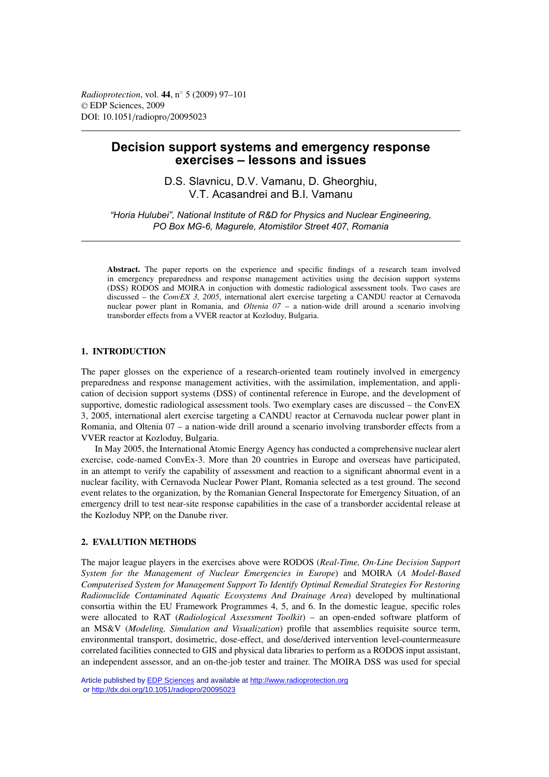# **Decision support systems and emergency response exercises – lessons and issues**

D.S. Slavnicu, D.V. Vamanu, D. Gheorghiu, V.T. Acasandrei and B.I. Vamanu

*"Horia Hulubei", National Institute of R&D for Physics and Nuclear Engineering, PO Box MG-6, Magurele, Atomistilor Street 407, Romania*

**Abstract.** The paper reports on the experience and specific findings of a research team involved in emergency preparedness and response management activities using the decision support systems (DSS) RODOS and MOIRA in conjuction with domestic radiological assessment tools. Two cases are discussed – the *ConvEX 3, 2005*, international alert exercise targeting a CANDU reactor at Cernavoda nuclear power plant in Romania, and *Oltenia 07* – a nation-wide drill around a scenario involving transborder effects from a VVER reactor at Kozloduy, Bulgaria.

## **1. INTRODUCTION**

The paper glosses on the experience of a research-oriented team routinely involved in emergency preparedness and response management activities, with the assimilation, implementation, and application of decision support systems (DSS) of continental reference in Europe, and the development of supportive, domestic radiological assessment tools. Two exemplary cases are discussed – the ConvEX 3, 2005, international alert exercise targeting a CANDU reactor at Cernavoda nuclear power plant in Romania, and Oltenia 07 – a nation-wide drill around a scenario involving transborder effects from a VVER reactor at Kozloduy, Bulgaria.

In May 2005, the International Atomic Energy Agency has conducted a comprehensive nuclear alert exercise, code-named ConvEx-3. More than 20 countries in Europe and overseas have participated, in an attempt to verify the capability of assessment and reaction to a significant abnormal event in a nuclear facility, with Cernavoda Nuclear Power Plant, Romania selected as a test ground. The second event relates to the organization, by the Romanian General Inspectorate for Emergency Situation, of an emergency drill to test near-site response capabilities in the case of a transborder accidental release at the Kozloduy NPP, on the Danube river.

## **2. EVALUTION METHODS**

The major league players in the exercises above were RODOS (*Real-Time, On-Line Decision Support System for the Management of Nuclear Emergencies in Europe*) and MOIRA (*A Model-Based Computerised System for Management Support To Identify Optimal Remedial Strategies For Restoring Radionuclide Contaminated Aquatic Ecosystems And Drainage Area*) developed by multinational consortia within the EU Framework Programmes 4, 5, and 6. In the domestic league, specific roles were allocated to RAT (*Radiological Assessment Toolkit*) – an open-ended software platform of an MS&V (*Modeling, Simulation and Visualization*) profile that assemblies requisite source term, environmental transport, dosimetric, dose-effect, and dose/derived intervention level-countermeasure correlated facilities connected to GIS and physical data libraries to perform as a RODOS input assistant, an independent assessor, and an on-the-job tester and trainer. The MOIRA DSS was used for special

Article published by [EDP Sciences](http://www.edpsciences.org) and available at<http://www.radioprotection.org> or <http://dx.doi.org/10.1051/radiopro/20095023>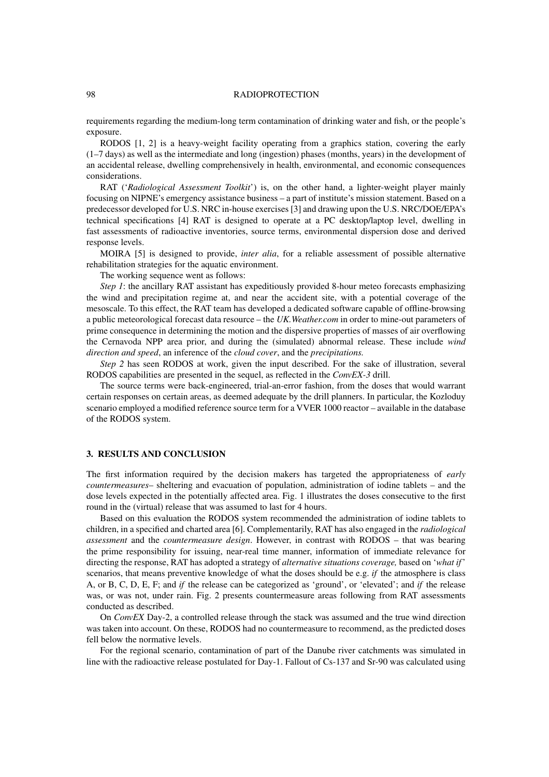#### 98 RADIOPROTECTION

requirements regarding the medium-long term contamination of drinking water and fish, or the people's exposure.

RODOS [1, 2] is a heavy-weight facility operating from a graphics station, covering the early (1–7 days) as well as the intermediate and long (ingestion) phases (months, years) in the development of an accidental release, dwelling comprehensively in health, environmental, and economic consequences considerations.

RAT ('*Radiological Assessment Toolkit*') is, on the other hand, a lighter-weight player mainly focusing on NIPNE's emergency assistance business – a part of institute's mission statement. Based on a predecessor developed for U.S. NRC in-house exercises [3] and drawing upon the U.S. NRC/DOE/EPA's technical specifications [4] RAT is designed to operate at a PC desktop/laptop level, dwelling in fast assessments of radioactive inventories, source terms, environmental dispersion dose and derived response levels.

MOIRA [5] is designed to provide, *inter alia*, for a reliable assessment of possible alternative rehabilitation strategies for the aquatic environment.

The working sequence went as follows:

*Step 1*: the ancillary RAT assistant has expeditiously provided 8-hour meteo forecasts emphasizing the wind and precipitation regime at, and near the accident site, with a potential coverage of the mesoscale. To this effect, the RAT team has developed a dedicated software capable of offline-browsing a public meteorological forecast data resource – the *UK.Weather.com* in order to mine-out parameters of prime consequence in determining the motion and the dispersive properties of masses of air overflowing the Cernavoda NPP area prior, and during the (simulated) abnormal release. These include *wind direction and speed*, an inference of the *cloud cover*, and the *precipitations.*

*Step 2* has seen RODOS at work, given the input described. For the sake of illustration, several RODOS capabilities are presented in the sequel, as reflected in the *ConvEX-3* drill.

The source terms were back-engineered, trial-an-error fashion, from the doses that would warrant certain responses on certain areas, as deemed adequate by the drill planners. In particular, the Kozloduy scenario employed a modified reference source term for a VVER 1000 reactor – available in the database of the RODOS system.

## **3. RESULTS AND CONCLUSION**

The first information required by the decision makers has targeted the appropriateness of *early countermeasures*– sheltering and evacuation of population, administration of iodine tablets – and the dose levels expected in the potentially affected area. Fig. 1 illustrates the doses consecutive to the first round in the (virtual) release that was assumed to last for 4 hours.

Based on this evaluation the RODOS system recommended the administration of iodine tablets to children, in a specified and charted area [6]. Complementarily, RAT has also engaged in the *radiological assessment* and the *countermeasure design*. However, in contrast with RODOS – that was bearing the prime responsibility for issuing, near-real time manner, information of immediate relevance for directing the response, RAT has adopted a strategy of *alternative situations coverage,* based on '*what if*' scenarios, that means preventive knowledge of what the doses should be e.g. *if* the atmosphere is class A, or B, C, D, E, F; and *if* the release can be categorized as 'ground', or 'elevated'; and *if* the release was, or was not, under rain. Fig. 2 presents countermeasure areas following from RAT assessments conducted as described.

On *ConvEX* Day-2, a controlled release through the stack was assumed and the true wind direction was taken into account. On these, RODOS had no countermeasure to recommend, as the predicted doses fell below the normative levels.

For the regional scenario, contamination of part of the Danube river catchments was simulated in line with the radioactive release postulated for Day-1. Fallout of Cs-137 and Sr-90 was calculated using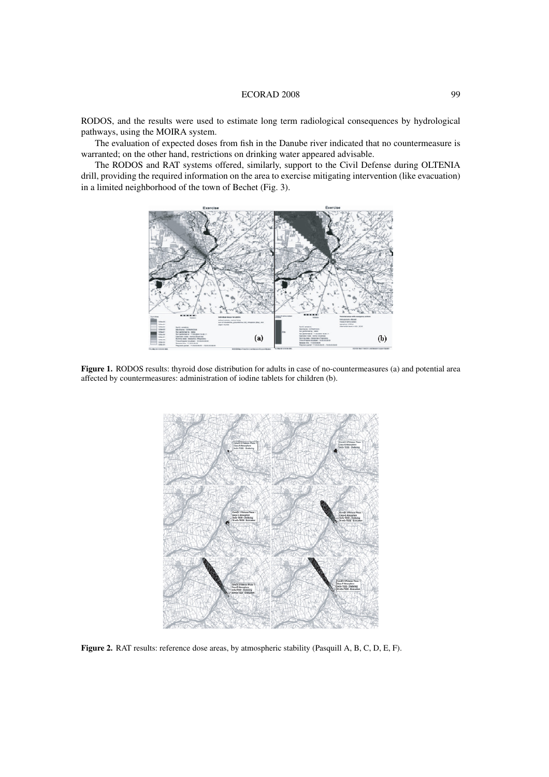#### ECORAD 2008 99

RODOS, and the results were used to estimate long term radiological consequences by hydrological pathways, using the MOIRA system.

The evaluation of expected doses from fish in the Danube river indicated that no countermeasure is warranted; on the other hand, restrictions on drinking water appeared advisable.

The RODOS and RAT systems offered, similarly, support to the Civil Defense during OLTENIA drill, providing the required information on the area to exercise mitigating intervention (like evacuation) in a limited neighborhood of the town of Bechet (Fig. 3).



**Figure 1.** RODOS results: thyroid dose distribution for adults in case of no-countermeasures (a) and potential area affected by countermeasures: administration of iodine tablets for children (b).



**Figure 2.** RAT results: reference dose areas, by atmospheric stability (Pasquill A, B, C, D, E, F).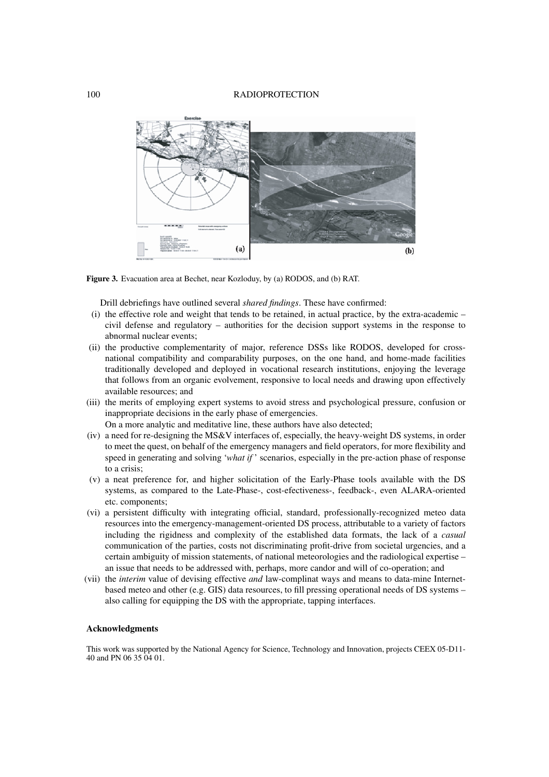

**Figure 3.** Evacuation area at Bechet, near Kozloduy, by (a) RODOS, and (b) RAT.

Drill debriefings have outlined several *shared findings*. These have confirmed:

- (i) the effective role and weight that tends to be retained, in actual practice, by the extra-academic civil defense and regulatory – authorities for the decision support systems in the response to abnormal nuclear events;
- (ii) the productive complementarity of major, reference DSSs like RODOS, developed for crossnational compatibility and comparability purposes, on the one hand, and home-made facilities traditionally developed and deployed in vocational research institutions, enjoying the leverage that follows from an organic evolvement, responsive to local needs and drawing upon effectively available resources; and
- (iii) the merits of employing expert systems to avoid stress and psychological pressure, confusion or inappropriate decisions in the early phase of emergencies.

On a more analytic and meditative line, these authors have also detected;

- (iv) a need for re-designing the MS&V interfaces of, especially, the heavy-weight DS systems, in order to meet the quest, on behalf of the emergency managers and field operators, for more flexibility and speed in generating and solving '*what if* ' scenarios, especially in the pre-action phase of response to a crisis;
- (v) a neat preference for, and higher solicitation of the Early-Phase tools available with the DS systems, as compared to the Late-Phase-, cost-efectiveness-, feedback-, even ALARA-oriented etc. components;
- (vi) a persistent difficulty with integrating official, standard, professionally-recognized meteo data resources into the emergency-management-oriented DS process, attributable to a variety of factors including the rigidness and complexity of the established data formats, the lack of a *casual* communication of the parties, costs not discriminating profit-drive from societal urgencies, and a certain ambiguity of mission statements, of national meteorologies and the radiological expertise – an issue that needs to be addressed with, perhaps, more candor and will of co-operation; and
- (vii) the *interim* value of devising effective *and* law-complinat ways and means to data-mine Internetbased meteo and other (e.g. GIS) data resources, to fill pressing operational needs of DS systems – also calling for equipping the DS with the appropriate, tapping interfaces.

#### **Acknowledgments**

This work was supported by the National Agency for Science, Technology and Innovation, projects CEEX 05-D11- 40 and PN 06 35 04 01.